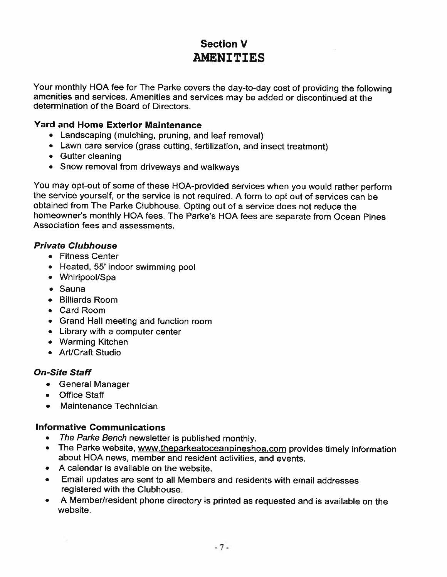# Section V **AMENITIES**

Your monthly HOA fee for The Parke covers the day-to-day cost of providing the following amenities and services. Amenities and services may be added or discontinued at the determination of the Board of Directors.

## Yard and Home Exterior Maintenance

- Landscaping (mulching, pruning, and leaf removal)
- Lawn care service (grass cutting, fertilization, and insect treatment)
- Gutter cleaning
- Snow removal from driveways and walkways

You may opt-out of some of these HOA-provided services when you would rather perform the service yourself, or the service is not required. <sup>A</sup> form to opt out of services can be obtained from The Parke Clubhouse. Opting out of <sup>a</sup> service does not reduce the homeowner's monthly HOA fees. The Parke's HOA fees are separate from Ocean Pines Association fees and assessments.

## Private Clubhouse

- Fitness Center
- Heated, 55' indoor swimming pool
- Whirlpool/Spa
- Sauna
- Billiards Room
- Card Room
- Grand Hall meeting and function room
- Library with <sup>a</sup> computer center
- Warming Kitchen
- Art/Craft Studio

## On-Site Staff

- General Manager
- Office Staff
- Maintenance Technician

## Informative Communications

- The Parke Bench newsletter is published monthly.
- •The Parke website, www.theparkeatoceanpineshoa.com provides timely information about HOA news, member and resident activities, and events.
- A calendar is available on the website.
- • Email updates are sent to all Members and residents with email addresses registered with the Clubhouse.
- • <sup>A</sup> Member/resident <sup>p</sup>hone directory is printed as requested and is available on the website.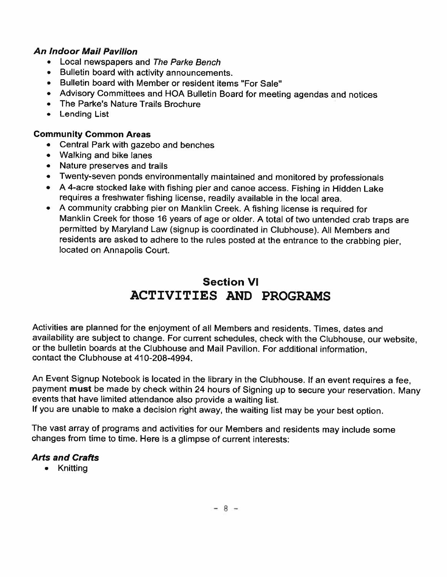## An Indoor Mail Pavilion

- Local newspapers and The Parke Bench
- Bulletin board with activity announcements.
- Bulletin board with Member or resident items "For Sale"
- Advisory Committees and HOA Bulletin Board for meeting agendas and notices
- The Parke's Nature Trails Brochure
- Lending List

## Community Common Areas

- Central Park with gazebo and benches
- Walking and bike lanes
- Nature preserves and trails
- Twenty-seven ponds environmentally maintained and monitored by professionals
- <sup>A</sup> 4-acre stocked lake with fishing <sup>p</sup>ier and canoe access. Fishing in Hidden Lake requires <sup>a</sup> freshwater fishing license, readily available in the local area.
- <sup>A</sup> community crabbing <sup>p</sup>ier on Manklin Creek. <sup>A</sup> fishing license is required for Manklin Creek for those <sup>16</sup> years of age or older. <sup>A</sup> total of two untended crab traps are permitted by Maryland Law (signup is coordinated in Clubhouse). All Members and residents are asked to adhere to the rules posted at the entrance to the crabbing <sup>p</sup>ier, located on Annapolis Court.

# Section VI ACTIVITIES AND PROGRAMS

Activities are <sup>p</sup>lanned for the enjoyment of all Members and residents. Times, dates and availability are subject to change. For current schedules, check with the Clubhouse, our website, or the bulletin boards at the Clubhouse and Mail Pavilion. For additional information, contact the Clubhouse at 410-208-4994.

An Event Signup Notebook is located in the library in the Clubhouse. If an event requires <sup>a</sup> fee, payment must be made by check within <sup>24</sup> hours of Signing up to secure your reservation. Many events that have limited attendance also provide <sup>a</sup> waiting list.

If you are unable to make <sup>a</sup> decision right away, the waiting list may be your best option.

The vast array of programs and activities for our Members and residents may include some changes from time to time. Here is <sup>a</sup> <sup>g</sup>limpse of current interests:

# **Arts and Crafts**

• Knitting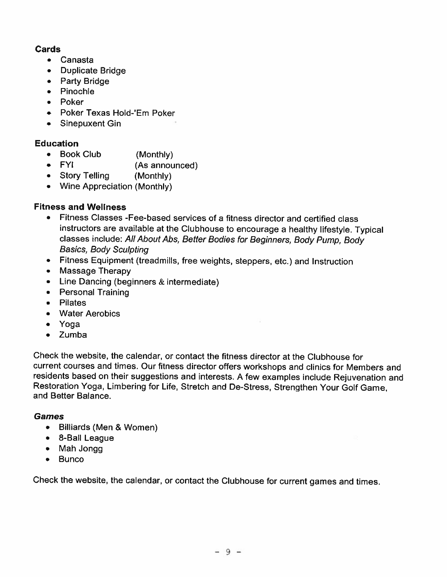## Cards

- Canasta
- Duplicate Bridge
- Party Bridge
- Pinochle
- Poker
- Poker Texas Hold-Em Poker
- Sinepuxent Gin

## Education

- Book Club (Monthly)
- FYI (As announced)
- Story Telling (Monthly)
- Wine Appreciation (Monthly)

## Fitness and Wellness

- Fitness Classes -Fee-based services of <sup>a</sup> fitness director and certified class instructors are available at the Clubhouse to encourage <sup>a</sup> healthy lifestyle. Typical classes include: All About Abs, Better Bodies for Beginners, Body Pump, Body Basics, Body Sculpting
- Fitness Equipment (treadmills, free weights, steppers, etc.) and Instruction
- Massage Therapy
- Line Dancing (beginners & intermediate)
- Personal Training
- Pilates
- Water Aerobics
- Yoga
- Zumba

Check the website, the calendar, or contact the fitness director at the Clubhouse for current courses and times. Our fitness director offers workshops and clinics for Members and residents based on their suggestions and interests. <sup>A</sup> few examples include Rejuvenation and Restoration Yoga, Limbering for Life, Stretch and De-Stress, Strengthen Your Golf Game, and Better Balance.

## Games

- Billiards (Men & Women)
- 8-Ball League
- Mah Jongg
- Bunco

Check the website, the calendar, or contact the Clubhouse for current games and times.